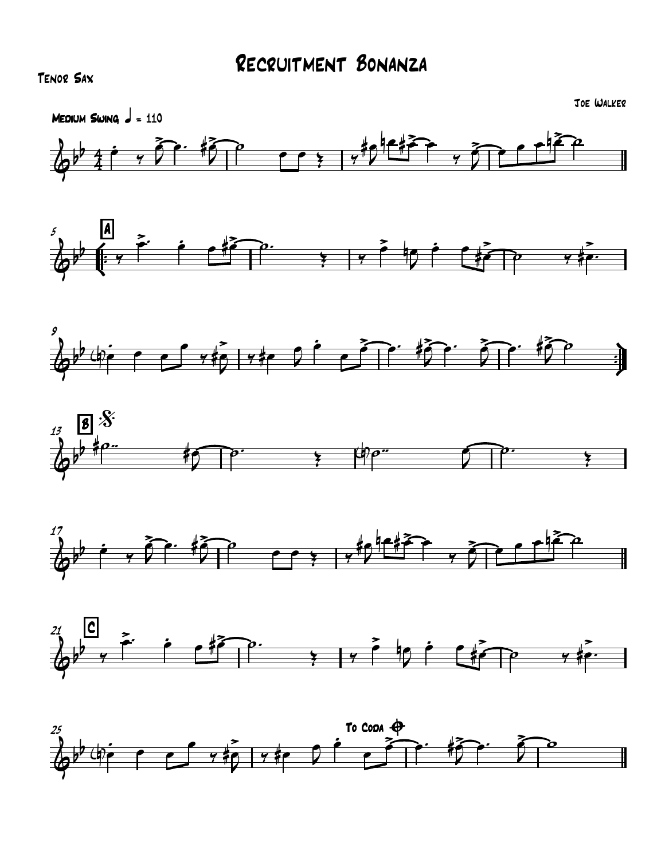## Tenor Sax